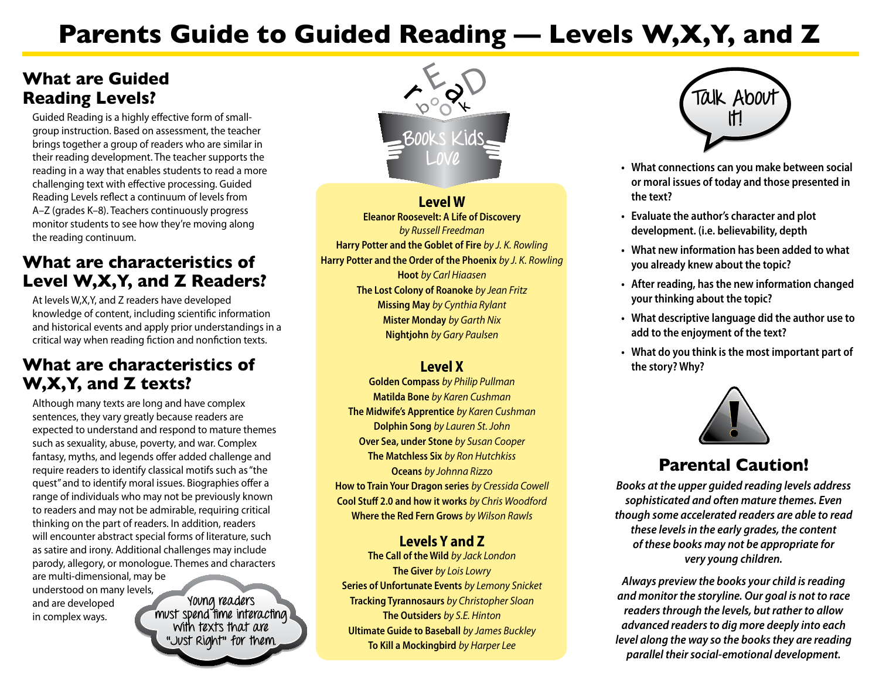# **Parents Guide to Guided Reading — Levels W,X,Y, and Z**

## **What are Guided Reading Levels?**

Guided Reading is a highly effective form of smallgroup instruction. Based on assessment, the teacher brings together a group of readers who are similar in their reading development. The teacher supports the reading in a way that enables students to read a more challenging text with effective processing. Guided Reading Levels reflect a continuum of levels from A–Z (grades K–8). Teachers continuously progress monitor students to see how they're moving along the reading continuum.

# **What are characteristics of Level W,X,Y, and Z Readers?**

At levels W,X,Y, and Z readers have developed knowledge of content, including scientific information and historical events and apply prior understandings in a critical way when reading fiction and nonfiction texts.

# **What are characteristics of W,X,Y, and Z texts?**

Although many texts are long and have complex sentences, they vary greatly because readers are expected to understand and respond to mature themes such as sexuality, abuse, poverty, and war. Complex fantasy, myths, and legends offer added challenge and require readers to identify classical motifs such as "the quest" and to identify moral issues. Biographies offer a range of individuals who may not be previously known to readers and may not be admirable, requiring critical thinking on the part of readers. In addition, readers will encounter abstract special forms of literature, such as satire and irony. Additional challenges may include parody, allegory, or monologue. Themes and characters are multi-dimensional, may be understood on many levels,

and are developed in complex ways.

**Young readers must spend time interacting with texts that are "Just Right" for them.** 



**Level W Eleanor Roosevelt: A Life of Discovery** *by Russell Freedman*  **Harry Potter and the Goblet of Fire** *by J. K. Rowling*  **Harry Potter and the Order of the Phoenix** *by J. K. Rowling*  **Hoot** *by Carl Hiaasen*  **The Lost Colony of Roanoke** *by Jean Fritz* **Missing May** *by Cynthia Rylant*  **Mister Monday** *by Garth Nix*  **Nightjohn** *by Gary Paulsen* 

#### **Level X**

**Golden Compass** *by Philip Pullman*  **Matilda Bone** *by Karen Cushman*  **The Midwife's Apprentice** *by Karen Cushman*  **Dolphin Song** *by Lauren St. John* **Over Sea, under Stone** *by Susan Cooper*  **The Matchless Six** *by Ron Hutchkiss*  **Oceans** *by Johnna Rizzo* **How to Train Your Dragon series** *by Cressida Cowell*  **Cool Stuff 2.0 and how it works** *by Chris Woodford*  **Where the Red Fern Grows** *by Wilson Rawls* 

#### **Levels Y and Z**

**The Call of the Wild** *by Jack London*  **The Giver** *by Lois Lowry*  **Series of Unfortunate Events** *by Lemony Snicket*  **Tracking Tyrannosaurs** *by Christopher Sloan*  **The Outsiders** *by S.E. Hinton*  **Ultimate Guide to Baseball** *by James Buckley* **To Kill a Mockingbird** *by Harper Lee* 



- **Love • What connections can you make between social or moral issues of today and those presented in the text?**
- **• Evaluate the author's character and plot development. (i.e. believability, depth**
- **• What new information has been added to what you already knew about the topic?**
- **• After reading, hasthe new information changed your thinking about the topic?**
- **• What descriptive language did the author use to add to the enjoyment of the text?**
- **• What do you think isthe most important part of the story? Why?**



# **Parental Caution!**

*Books at the upper guided reading levels address sophisticated and often mature themes. Even though some accelerated readers are able to read these levels in the early grades, the content of these books may not be appropriate for very young children.* 

*Always preview the books your child is reading and monitor the storyline. Our goal is not to race readers through the levels, but rather to allow advanced readers to dig more deeply into each level along the way so the books they are reading parallel their social-emotional development.*